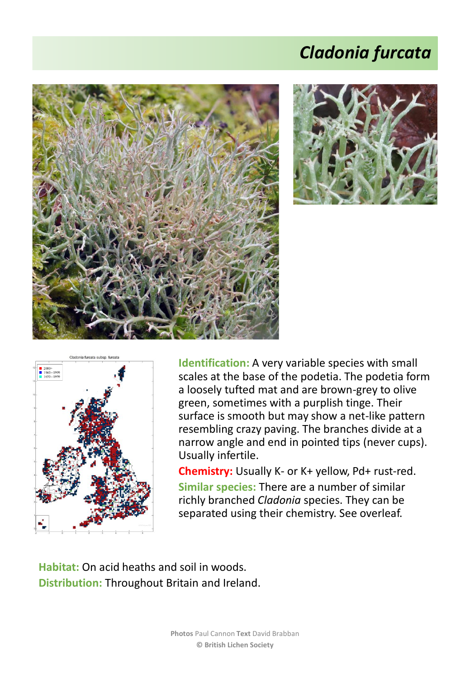## *Cladonia furcata*







**Identification:** A very variable species with small scales at the base of the podetia. The podetia form a loosely tufted mat and are brown-grey to olive green, sometimes with a purplish tinge. Their surface is smooth but may show a net-like pattern resembling crazy paving. The branches divide at a narrow angle and end in pointed tips (never cups). Usually infertile.

**Chemistry:** Usually K- or K+ yellow, Pd+ rust-red. **Similar species:** There are a number of similar richly branched *Cladonia* species. They can be separated using their chemistry. See overleaf.

**Habitat:** On acid heaths and soil in woods. **Distribution:** Throughout Britain and Ireland.